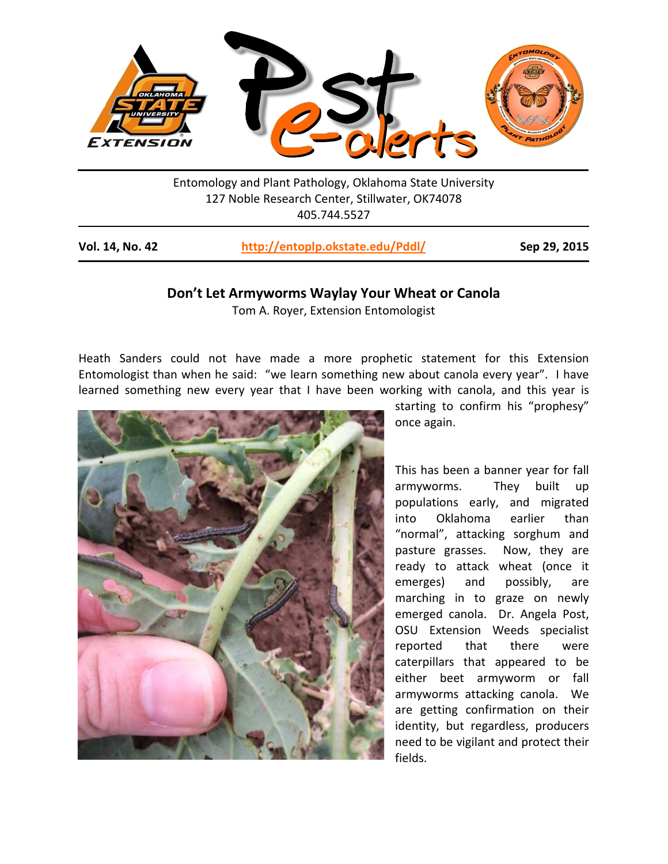

Entomology and Plant Pathology, Oklahoma State University 127 Noble Research Center, Stillwater, OK74078 405.744.5527

| Vol. 14, No. 42 | http://entoplp.okstate.edu/Pddl/ | Sep 29, 2015 |
|-----------------|----------------------------------|--------------|
|-----------------|----------------------------------|--------------|

## **Don't Let Armyworms Waylay Your Wheat or Canola**

Tom A. Royer, Extension Entomologist

Heath Sanders could not have made a more prophetic statement for this Extension Entomologist than when he said: "we learn something new about canola every year". I have learned something new every year that I have been working with canola, and this year is



starting to confirm his "prophesy" once again.

This has been a banner year for fall armyworms. They built up populations early, and migrated into Oklahoma earlier than "normal", attacking sorghum and pasture grasses. Now, they are ready to attack wheat (once it emerges) and possibly, are marching in to graze on newly emerged canola. Dr. Angela Post, OSU Extension Weeds specialist reported that there were caterpillars that appeared to be either beet armyworm or fall armyworms attacking canola. We are getting confirmation on their identity, but regardless, producers need to be vigilant and protect their fields.